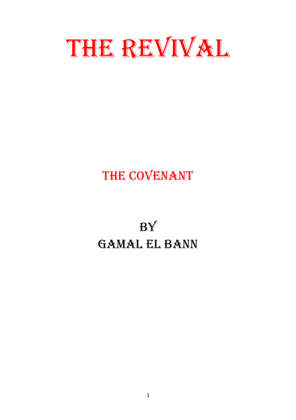

## THE COVENANT

# **BY** Gamal el Bann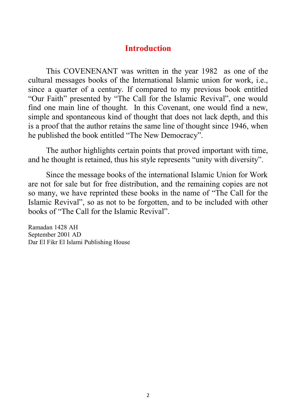### **Introduction**

This COVENENANT was written in the year 1982 as one of the cultural messages books of the International Islamic union for work, i.e., since a quarter of a century. If compared to my previous book entitled "Our Faith" presented by "The Call for the Islamic Revival", one would find one main line of thought. In this Covenant, one would find a new, simple and spontaneous kind of thought that does not lack depth, and this is a proof that the author retains the same line of thought since 1946, when he published the book entitled "The New Democracy".

The author highlights certain points that proved important with time, and he thought is retained, thus his style represents "unity with diversity".

Since the message books of the international Islamic Union for Work are not for sale but for free distribution, and the remaining copies are not so many, we have reprinted these books in the name of "The Call for the Islamic Revival", so as not to be forgotten, and to be included with other books of "The Call for the Islamic Revival".

Ramadan 1428 AH September 2001 AD Dar El Fikr El Islami Publishing House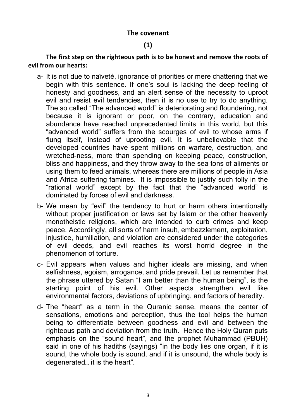#### **The covenant**

#### **(1)**

**The first step on the righteous path is to be honest and remove the roots of evil from our hearts:** 

- a- It is not due to naïveté, ignorance of priorities or mere chattering that we begin with this sentence. If one's soul is lacking the deep feeling of honesty and goodness, and an alert sense of the necessity to uproot evil and resist evil tendencies, then it is no use to try to do anything. The so called "The advanced world" is deteriorating and floundering, not because it is ignorant or poor, on the contrary, education and abundance have reached unprecedented limits in this world, but this "advanced world" suffers from the scourges of evil to whose arms if flung itself, instead of uprooting evil. It is unbelievable that the developed countries have spent millions on warfare, destruction, and wretched-ness, more than spending on keeping peace, construction, bliss and happiness, and they throw away to the sea tons of aliments or using them to feed animals, whereas there are millions of people in Asia and Africa suffering famines. It is impossible to justify such folly in the "rational world" except by the fact that the "advanced world" is dominated by forces of evil and darkness.
- b- We mean by "evil" the tendency to hurt or harm others intentionally without proper justification or laws set by Islam or the other heavenly monotheistic religions, which are intended to curb crimes and keep peace. Accordingly, all sorts of harm insult, embezzlement, exploitation, injustice, humiliation, and violation are considered under the categories of evil deeds, and evil reaches its worst horrid degree in the phenomenon of torture.
- c- Evil appears when values and higher ideals are missing, and when selfishness, egoism, arrogance, and pride prevail. Let us remember that the phrase uttered by Satan "I am better than the human being", is the starting point of his evil. Other aspects strengthen evil like environmental factors, deviations of upbringing, and factors of heredity.
- d- The "heart" as a term in the Quranic sense, means the center of sensations, emotions and perception, thus the tool helps the human being to differentiate between goodness and evil and between the righteous path and deviation from the truth. Hence the Holy Quran puts emphasis on the "sound heart", and the prophet Muhammad (PBUH) said in one of his hadiths (sayings) "in the body lies one organ, if it is sound, the whole body is sound, and if it is unsound, the whole body is degenerated… it is the heart".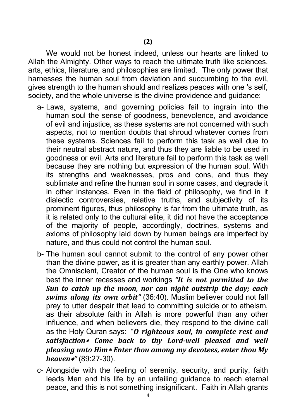**(2)**

We would not be honest indeed, unless our hearts are linked to Allah the Almighty. Other ways to reach the ultimate truth like sciences, arts, ethics, literature, and philosophies are limited. The only power that harnesses the human soul from deviation and succumbing to the evil, gives strength to the human should and realizes peaces with one 's self, society, and the whole universe is the divine providence and guidance:

- a- Laws, systems, and governing policies fail to ingrain into the human soul the sense of goodness, benevolence, and avoidance of evil and injustice, as these systems are not concerned with such aspects, not to mention doubts that shroud whatever comes from these systems. Sciences fail to perform this task as well due to their neutral abstract nature, and thus they are liable to be used in goodness or evil. Arts and literature fail to perform this task as well because they are nothing but expression of the human soul. With its strengths and weaknesses, pros and cons, and thus they sublimate and refine the human soul in some cases, and degrade it in other instances. Even in the field of philosophy, we find in it dialectic controversies, relative truths, and subjectivity of its prominent figures, thus philosophy is far from the ultimate truth, as it is related only to the cultural elite, it did not have the acceptance of the majority of people, accordingly, doctrines, systems and axioms of philosophy laid down by human beings are imperfect by nature, and thus could not control the human soul.
- b- The human soul cannot submit to the control of any power other than the divine power, as it is greater than any earthly power. Allah the Omniscient, Creator of the human soul is the One who knows best the inner recesses and workings *"It is not permitted to the Sun to catch up the moon, nor can night outstrip the day; each swims along its own orbit"* (36:40). Muslim believer could not fall prey to utter despair that lead to committing suicide or to atheism, as their absolute faith in Allah is more powerful than any other influence, and when believers die, they respond to the divine call as the Holy Quran says: "*O righteous soul, in complete rest and satisfaction Come back to thy Lord-well pleased and well pleasing unto Him Enter thou among my devotees, enter thou My heaven"* (89:27-30).
- c- Alongside with the feeling of serenity, security, and purity, faith leads Man and his life by an unfailing guidance to reach eternal peace, and this is not something insignificant. Faith in Allah grants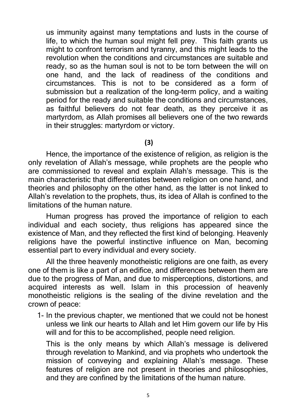us immunity against many temptations and lusts in the course of life, to which the human soul might fell prey. This faith grants us might to confront terrorism and tyranny, and this might leads to the revolution when the conditions and circumstances are suitable and ready, so as the human soul is not to be torn between the will on one hand, and the lack of readiness of the conditions and circumstances. This is not to be considered as a form of submission but a realization of the long-term policy, and a waiting period for the ready and suitable the conditions and circumstances, as faithful believers do not fear death, as they perceive it as martyrdom, as Allah promises all believers one of the two rewards in their struggles: martyrdom or victory.

#### **(3)**

Hence, the importance of the existence of religion, as religion is the only revelation of Allah's message, while prophets are the people who are commissioned to reveal and explain Allah's message. This is the main characteristic that differentiates between religion on one hand, and theories and philosophy on the other hand, as the latter is not linked to Allah's revelation to the prophets, thus, its idea of Allah is confined to the limitations of the human nature.

Human progress has proved the importance of religion to each individual and each society, thus religions has appeared since the existence of Man, and they reflected the first kind of belonging. Heavenly religions have the powerful instinctive influence on Man, becoming essential part to every individual and every society.

All the three heavenly monotheistic religions are one faith, as every one of them is like a part of an edifice, and differences between them are due to the progress of Man, and due to misperceptions, distortions, and acquired interests as well. Islam in this procession of heavenly monotheistic religions is the sealing of the divine revelation and the crown of peace:

1- In the previous chapter, we mentioned that we could not be honest unless we link our hearts to Allah and let Him govern our life by His will and for this to be accomplished, people need religion.

This is the only means by which Allah's message is delivered through revelation to Mankind, and via prophets who undertook the mission of conveying and explaining Allah's message. These features of religion are not present in theories and philosophies, and they are confined by the limitations of the human nature.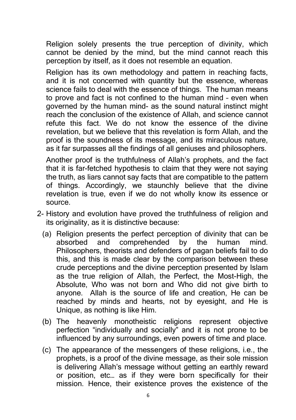Religion solely presents the true perception of divinity, which cannot be denied by the mind, but the mind cannot reach this perception by itself, as it does not resemble an equation.

Religion has its own methodology and pattern in reaching facts, and it is not concerned with quantity but the essence, whereas science fails to deal with the essence of things. The human means to prove and fact is not confined to the human mind – even when governed by the human mind- as the sound natural instinct might reach the conclusion of the existence of Allah, and science cannot refute this fact. We do not know the essence of the divine revelation, but we believe that this revelation is form Allah, and the proof is the soundness of its message, and its miraculous nature, as it far surpasses all the findings of all geniuses and philosophers.

Another proof is the truthfulness of Allah's prophets, and the fact that it is far-fetched hypothesis to claim that they were not saying the truth, as liars cannot say facts that are compatible to the pattern of things. Accordingly, we staunchly believe that the divine revelation is true, even if we do not wholly know its essence or source.

- 2- History and evolution have proved the truthfulness of religion and its originality, as it is distinctive because:
	- (a) Religion presents the perfect perception of divinity that can be absorbed and comprehended by the human mind. Philosophers, theorists and defenders of pagan beliefs fail to do this, and this is made clear by the comparison between these crude perceptions and the divine perception presented by Islam as the true religion of Allah, the Perfect, the Most-High, the Absolute, Who was not born and Who did not give birth to anyone. Allah is the source of life and creation, He can be reached by minds and hearts, not by eyesight, and He is Unique, as nothing is like Him.
	- (b) The heavenly monotheistic religions represent objective perfection "individually and socially" and it is not prone to be influenced by any surroundings, even powers of time and place.
	- (c) The appearance of the messengers of these religions, i.e., the prophets, is a proof of the divine message, as their sole mission is delivering Allah's message without getting an earthly reward or position, etc… as if they were born specifically for their mission. Hence, their existence proves the existence of the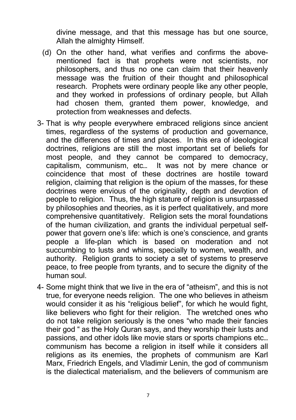divine message, and that this message has but one source, Allah the almighty Himself.

- (d) On the other hand, what verifies and confirms the abovementioned fact is that prophets were not scientists, nor philosophers, and thus no one can claim that their heavenly message was the fruition of their thought and philosophical research. Prophets were ordinary people like any other people, and they worked in professions of ordinary people, but Allah had chosen them, granted them power, knowledge, and protection from weaknesses and defects.
- 3- That is why people everywhere embraced religions since ancient times, regardless of the systems of production and governance, and the differences of times and places. In this era of ideological doctrines, religions are still the most important set of beliefs for most people, and they cannot be compared to democracy, capitalism, communism, etc… It was not by mere chance or coincidence that most of these doctrines are hostile toward religion, claiming that religion is the opium of the masses, for these doctrines were envious of the originality, depth and devotion of people to religion. Thus, the high stature of religion is unsurpassed by philosophies and theories, as it is perfect qualitatively, and more comprehensive quantitatively. Religion sets the moral foundations of the human civilization, and grants the individual perpetual selfpower that govern one's life: which is one's conscience, and grants people a life-plan which is based on moderation and not succumbing to lusts and whims, specially to women, wealth, and authority. Religion grants to society a set of systems to preserve peace, to free people from tyrants, and to secure the dignity of the human soul.
- 4- Some might think that we live in the era of "atheism", and this is not true, for everyone needs religion. The one who believes in atheism would consider it as his "religious belief", for which he would fight, like believers who fight for their religion. The wretched ones who do not take religion seriously is the ones "who made their fancies their god " as the Holy Quran says, and they worship their lusts and passions, and other idols like movie stars or sports champions etc… communism has become a religion in itself while it considers all religions as its enemies, the prophets of communism are Karl Marx, Friedrich Engels, and Vladimir Lenin, the god of communism is the dialectical materialism, and the believers of communism are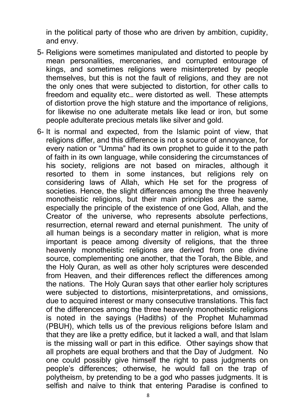in the political party of those who are driven by ambition, cupidity, and envy.

- 5- Religions were sometimes manipulated and distorted to people by mean personalities, mercenaries, and corrupted entourage of kings, and sometimes religions were misinterpreted by people themselves, but this is not the fault of religions, and they are not the only ones that were subjected to distortion, for other calls to freedom and equality etc… were distorted as well. These attempts of distortion prove the high stature and the importance of religions, for likewise no one adulterate metals like lead or iron, but some people adulterate precious metals like silver and gold.
- 6- It is normal and expected, from the Islamic point of view, that religions differ, and this difference is not a source of annoyance, for every nation or "Umma" had its own prophet to guide it to the path of faith in its own language, while considering the circumstances of his society, religions are not based on miracles, although it resorted to them in some instances, but religions rely on considering laws of Allah, which He set for the progress of societies. Hence, the slight differences among the three heavenly monotheistic religions, but their main principles are the same, especially the principle of the existence of one God, Allah, and the Creator of the universe, who represents absolute perfections, resurrection, eternal reward and eternal punishment. The unity of all human beings is a secondary matter in religion, what is more important is peace among diversity of religions, that the three heavenly monotheistic religions are derived from one divine source, complementing one another, that the Torah, the Bible, and the Holy Quran, as well as other holy scriptures were descended from Heaven, and their differences reflect the differences among the nations. The Holy Quran says that other earlier holy scriptures were subjected to distortions, misinterpretations, and omissions, due to acquired interest or many consecutive translations. This fact of the differences among the three heavenly monotheistic religions is noted in the sayings (Hadiths) of the Prophet Muhammad (PBUH), which tells us of the previous religions before Islam and that they are like a pretty edifice, but it lacked a wall, and that Islam is the missing wall or part in this edifice. Other sayings show that all prophets are equal brothers and that the Day of Judgment. No one could possibly give himself the right to pass judgments on people's differences; otherwise, he would fall on the trap of polytheism, by pretending to be a god who passes judgments. It is selfish and naïve to think that entering Paradise is confined to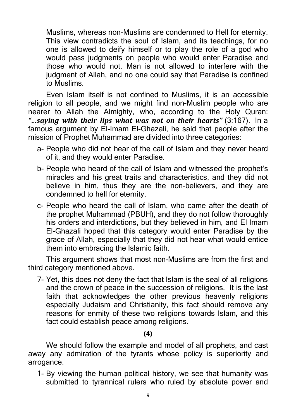Muslims, whereas non-Muslims are condemned to Hell for eternity. This view contradicts the soul of Islam, and its teachings, for no one is allowed to deify himself or to play the role of a god who would pass judgments on people who would enter Paradise and those who would not. Man is not allowed to interfere with the judgment of Allah, and no one could say that Paradise is confined to Muslims.

Even Islam itself is not confined to Muslims, it is an accessible religion to all people, and we might find non-Muslim people who are nearer to Allah the Almighty, who, according to the Holy Quran: *"…saying with their lips what was not on their hearts"* (3:167). In a famous argument by El-Imam El-Ghazali, he said that people after the mission of Prophet Muhammad are divided into three categories:

- a- People who did not hear of the call of Islam and they never heard of it, and they would enter Paradise.
- b- People who heard of the call of Islam and witnessed the prophet's miracles and his great traits and characteristics, and they did not believe in him, thus they are the non-believers, and they are condemned to hell for eternity.
- c- People who heard the call of Islam, who came after the death of the prophet Muhammad (PBUH), and they do not follow thoroughly his orders and interdictions, but they believed in him, and El Imam El-Ghazali hoped that this category would enter Paradise by the grace of Allah, especially that they did not hear what would entice them into embracing the Islamic faith.

This argument shows that most non-Muslims are from the first and third category mentioned above.

7- Yet, this does not deny the fact that Islam is the seal of all religions and the crown of peace in the succession of religions. It is the last faith that acknowledges the other previous heavenly religions especially Judaism and Christianity, this fact should remove any reasons for enmity of these two religions towards Islam, and this fact could establish peace among religions.

**(4)**

We should follow the example and model of all prophets, and cast away any admiration of the tyrants whose policy is superiority and arrogance.

1- By viewing the human political history, we see that humanity was submitted to tyrannical rulers who ruled by absolute power and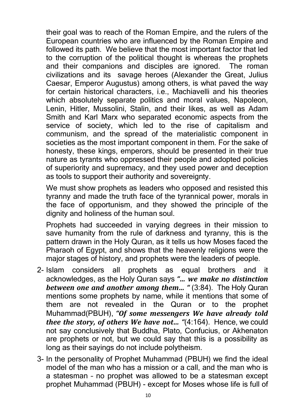their goal was to reach of the Roman Empire, and the rulers of the European countries who are influenced by the Roman Empire and followed its path. We believe that the most important factor that led to the corruption of the political thought is whereas the prophets and their companions and disciples are ignored. The roman civilizations and its savage heroes (Alexander the Great, Julius Caesar, Emperor Augustus) among others, is what paved the way for certain historical characters, i.e., Machiavelli and his theories which absolutely separate politics and moral values, Napoleon, Lenin, Hitler, Mussolini, Stalin, and their likes, as well as Adam Smith and Karl Marx who separated economic aspects from the service of society, which led to the rise of capitalism and communism, and the spread of the materialistic component in societies as the most important component in them. For the sake of honesty, these kings, emperors, should be presented in their true nature as tyrants who oppressed their people and adopted policies of superiority and supremacy, and they used power and deception as tools to support their authority and sovereignty.

We must show prophets as leaders who opposed and resisted this tyranny and made the truth face of the tyrannical power, morals in the face of opportunism, and they showed the principle of the dignity and holiness of the human soul.

Prophets had succeeded in varying degrees in their mission to save humanity from the rule of darkness and tyranny, this is the pattern drawn in the Holy Quran, as it tells us how Moses faced the Pharaoh of Egypt, and shows that the heavenly religions were the major stages of history, and prophets were the leaders of people.

- 2- Islam considers all prophets as equal brothers and it acknowledges, as the Holy Quran says *"… we make no distinction between one and another among them… "* (3:84). The Holy Quran mentions some prophets by name, while it mentions that some of them are not revealed in the Quran or to the prophet Muhammad(PBUH), *"Of some messengers We have already told thee the story, of others We have not… "*(4:164). Hence, we could not say conclusively that Buddha, Plato, Confucius, or Akhenaton are prophets or not, but we could say that this is a possibility as long as their sayings do not include polytheism.
- 3- In the personality of Prophet Muhammad (PBUH) we find the ideal model of the man who has a mission or a call, and the man who is a statesman – no prophet was allowed to be a statesman except prophet Muhammad (PBUH) - except for Moses whose life is full of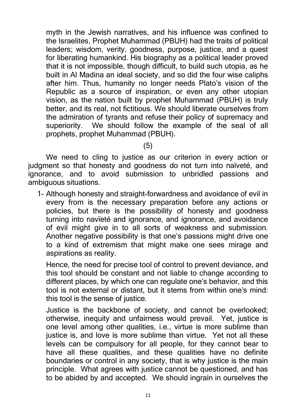myth in the Jewish narratives, and his influence was confined to the Israelites, Prophet Muhammad (PBUH) had the traits of political leaders; wisdom, verity, goodness, purpose, justice, and a quest for liberating humankind. His biography as a political leader proved that it is not impossible, though difficult, to build such utopia, as he built in Al Madina an ideal society, and so did the four wise caliphs after him. Thus, humanity no longer needs Plato's vision of the Republic as a source of inspiration, or even any other utopian vision, as the nation built by prophet Muhammad (PBUH) is truly better, and its real, not fictitious. We should liberate ourselves from the admiration of tyrants and refuse their policy of supremacy and superiority. We should follow the example of the seal of all prophets, prophet Muhammad (PBUH).

#### (5)

We need to cling to justice as our criterion in every action or judgment so that honesty and goodness do not turn into naïveté, and ignorance, and to avoid submission to unbridled passions and ambiguous situations.

1- Although honesty and straight-forwardness and avoidance of evil in every from is the necessary preparation before any actions or policies, but there is the possibility of honesty and goodness turning into navïeté and ignorance, and ignorance, and avoidance of evil might give in to all sorts of weakness and submission. Another negative possibility is that one's passions might drive one to a kind of extremism that might make one sees mirage and aspirations as reality.

Hence, the need for precise tool of control to prevent deviance, and this tool should be constant and not liable to change according to different places, by which one can regulate one's behavior, and this tool is not external or distant, but it stems from within one's mind: this tool is the sense of justice.

Justice is the backbone of society, and cannot be overlooked; otherwise, inequity and unfairness would prevail. Yet, justice is one level among other qualities, i.e., virtue is more sublime than justice is, and love is more sublime than virtue. Yet not all these levels can be compulsory for all people, for they cannot bear to have all these qualities, and these qualities have no definite boundaries or control in any society, that is why justice is the main principle. What agrees with justice cannot be questioned, and has to be abided by and accepted. We should ingrain in ourselves the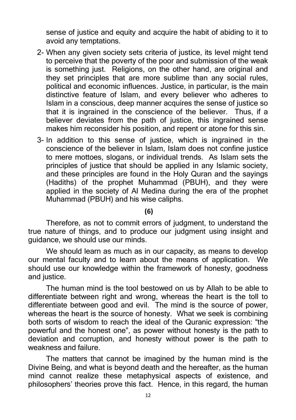sense of justice and equity and acquire the habit of abiding to it to avoid any temptations.

- 2- When any given society sets criteria of justice, its level might tend to perceive that the poverty of the poor and submission of the weak is something just. Religions, on the other hand, are original and they set principles that are more sublime than any social rules, political and economic influences. Justice, in particular, is the main distinctive feature of Islam, and every believer who adheres to Islam in a conscious, deep manner acquires the sense of justice so that it is ingrained in the conscience of the believer. Thus, if a believer deviates from the path of justice, this ingrained sense makes him reconsider his position, and repent or atone for this sin.
- 3- In addition to this sense of justice, which is ingrained in the conscience of the believer in Islam, Islam does not confine justice to mere mottoes, slogans, or individual trends. As Islam sets the principles of justice that should be applied in any Islamic society, and these principles are found in the Holy Quran and the sayings (Hadiths) of the prophet Muhammad (PBUH), and they were applied in the society of Al Medina during the era of the prophet Muhammad (PBUH) and his wise caliphs.

#### **(6)**

Therefore, as not to commit errors of judgment, to understand the true nature of things, and to produce our judgment using insight and guidance, we should use our minds.

We should learn as much as in our capacity, as means to develop our mental faculty and to learn about the means of application. We should use our knowledge within the framework of honesty, goodness and justice.

The human mind is the tool bestowed on us by Allah to be able to differentiate between right and wrong, whereas the heart is the toll to differentiate between good and evil. The mind is the source of power, whereas the heart is the source of honesty. What we seek is combining both sorts of wisdom to reach the ideal of the Quranic expression: "the powerful and the honest one", as power without honesty is the path to deviation and corruption, and honesty without power is the path to weakness and failure.

The matters that cannot be imagined by the human mind is the Divine Being, and what is beyond death and the hereafter, as the human mind cannot realize these metaphysical aspects of existence, and philosophers' theories prove this fact. Hence, in this regard, the human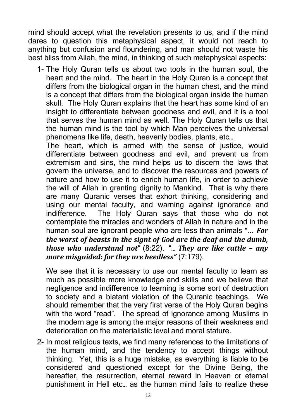mind should accept what the revelation presents to us, and if the mind dares to question this metaphysical aspect, it would not reach to anything but confusion and floundering, and man should not waste his best bliss from Allah, the mind, in thinking of such metaphysical aspects:

1- The Holy Quran tells us about two tools in the human soul, the heart and the mind. The heart in the Holy Quran is a concept that differs from the biological organ in the human chest, and the mind is a concept that differs from the biological organ inside the human skull. The Holy Quran explains that the heart has some kind of an insight to differentiate between goodness and evil, and it is a tool that serves the human mind as well. The Holy Quran tells us that the human mind is the tool by which Man perceives the universal phenomena like life, death, heavenly bodies, plants, etc…

The heart, which is armed with the sense of justice, would differentiate between goodness and evil, and prevent us from extremism and sins, the mind helps us to discern the laws that govern the universe, and to discover the resources and powers of nature and how to use it to enrich human life, in order to achieve the will of Allah in granting dignity to Mankind. That is why there are many Quranic verses that exhort thinking, considering and using our mental faculty, and warning against ignorance and indifference. The Holy Quran says that those who do not contemplate the miracles and wonders of Allah in nature and in the human soul are ignorant people who are less than animals **"…** *For the worst of beasts in the signt of God are the deaf and the dumb, those who understand not***"** (8:22). "… *They are like cattle – any more misguided: for they are heedless"* (7:179).

We see that it is necessary to use our mental faculty to learn as much as possible more knowledge and skills and we believe that negligence and indifference to learning is some sort of destruction to society and a blatant violation of the Quranic teachings. We should remember that the very first verse of the Holy Quran begins with the word "read". The spread of ignorance among Muslims in the modern age is among the major reasons of their weakness and deterioration on the materialistic level and moral stature.

2- In most religious texts, we find many references to the limitations of the human mind, and the tendency to accept things without thinking. Yet, this is a huge mistake, as everything is liable to be considered and questioned except for the Divine Being, the hereafter, the resurrection, eternal reward in Heaven or eternal punishment in Hell etc… as the human mind fails to realize these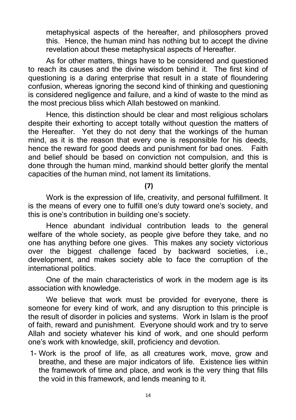metaphysical aspects of the hereafter, and philosophers proved this. Hence, the human mind has nothing but to accept the divine revelation about these metaphysical aspects of Hereafter.

As for other matters, things have to be considered and questioned to reach its causes and the divine wisdom behind it. The first kind of questioning is a daring enterprise that result in a state of floundering confusion, whereas ignoring the second kind of thinking and questioning is considered negligence and failure, and a kind of waste to the mind as the most precious bliss which Allah bestowed on mankind.

Hence, this distinction should be clear and most religious scholars despite their exhorting to accept totally without question the matters of the Hereafter. Yet they do not deny that the workings of the human mind, as it is the reason that every one is responsible for his deeds, hence the reward for good deeds and punishment for bad ones. Faith and belief should be based on conviction not compulsion, and this is done through the human mind, mankind should better glorify the mental capacities of the human mind, not lament its limitations.

**(7)**

Work is the expression of life, creativity, and personal fulfillment. It is the means of every one to fulfill one's duty toward one's society, and this is one's contribution in building one's society.

Hence abundant individual contribution leads to the general welfare of the whole society, as people give before they take, and no one has anything before one gives. This makes any society victorious over the biggest challenge faced by backward societies, i.e., development, and makes society able to face the corruption of the international politics.

One of the main characteristics of work in the modern age is its association with knowledge.

We believe that work must be provided for everyone, there is someone for every kind of work, and any disruption to this principle is the result of disorder in policies and systems. Work in Islam is the proof of faith, reward and punishment. Everyone should work and try to serve Allah and society whatever his kind of work, and one should perform one's work with knowledge, skill, proficiency and devotion.

1- Work is the proof of life, as all creatures work, move, grow and breathe, and these are major indicators of life. Existence lies within the framework of time and place, and work is the very thing that fills the void in this framework, and lends meaning to it.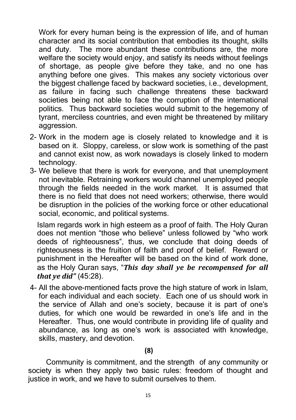Work for every human being is the expression of life, and of human character and its social contribution that embodies its thought, skills and duty. The more abundant these contributions are, the more welfare the society would enjoy, and satisfy its needs without feelings of shortage, as people give before they take, and no one has anything before one gives. This makes any society victorious over the biggest challenge faced by backward societies, i.e., development, as failure in facing such challenge threatens these backward societies being not able to face the corruption of the international politics. Thus backward societies would submit to the hegemony of tyrant, merciless countries, and even might be threatened by military aggression.

- 2- Work in the modern age is closely related to knowledge and it is based on it. Sloppy, careless, or slow work is something of the past and cannot exist now, as work nowadays is closely linked to modern technology.
- 3- We believe that there is work for everyone, and that unemployment not inevitable. Retraining workers would channel unemployed people through the fields needed in the work market. It is assumed that there is no field that does not need workers; otherwise, there would be disruption in the policies of the working force or other educational social, economic, and political systems.

Islam regards work in high esteem as a proof of faith. The Holy Quran does not mention "those who believe" unless followed by "who work deeds of righteousness", thus, we conclude that doing deeds of righteousness is the fruition of faith and proof of belief. Reward or punishment in the Hereafter will be based on the kind of work done, as the Holy Quran says, "*This day shall ye be recompensed for all that ye did"* (45:28).

4- All the above-mentioned facts prove the high stature of work in Islam, for each individual and each society. Each one of us should work in the service of Allah and one's society, because it is part of one's duties, for which one would be rewarded in one's life and in the Hereafter. Thus, one would contribute in providing life of quality and abundance, as long as one's work is associated with knowledge, skills, mastery, and devotion.

#### **(8)**

Community is commitment, and the strength of any community or society is when they apply two basic rules: freedom of thought and justice in work, and we have to submit ourselves to them.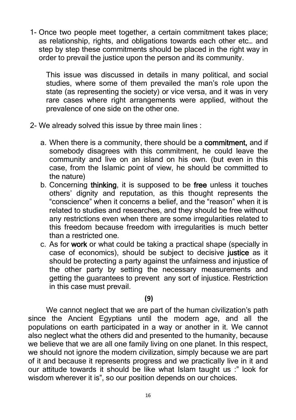1- Once two people meet together, a certain commitment takes place; as relationship, rights, and obligations towards each other etc… and step by step these commitments should be placed in the right way in order to prevail the justice upon the person and its community.

This issue was discussed in details in many political, and social studies, where some of them prevailed the man's role upon the state (as representing the society) or vice versa, and it was in very rare cases where right arrangements were applied, without the prevalence of one side on the other one.

- 2- We already solved this issue by three main lines :
	- a. When there is a community, there should be a **commitment,** and if somebody disagrees with this commitment, he could leave the community and live on an island on his own. (but even in this case, from the Islamic point of view, he should be committed to the nature)
	- b. Concerning **thinking**, it is supposed to be **free** unless it touches others' dignity and reputation, as this thought represents the "conscience" when it concerns a belief, and the "reason" when it is related to studies and researches, and they should be free without any restrictions even when there are some irregularities related to this freedom because freedom with irregularities is much better than a restricted one.
	- c. As for **work** or what could be taking a practical shape (specially in case of economics), should be subject to decisive **justice** as it should be protecting a party against the unfairness and injustice of the other party by setting the necessary measurements and getting the guarantees to prevent any sort of injustice. Restriction in this case must prevail.

#### **(9)**

We cannot neglect that we are part of the human civilization's path since the Ancient Egyptians until the modern age, and all the populations on earth participated in a way or another in it. We cannot also neglect what the others did and presented to the humanity, because we believe that we are all one family living on one planet. In this respect, we should not ignore the modern civilization, simply because we are part of it and because it represents progress and we practically live in it and our attitude towards it should be like what Islam taught us :" look for wisdom wherever it is", so our position depends on our choices.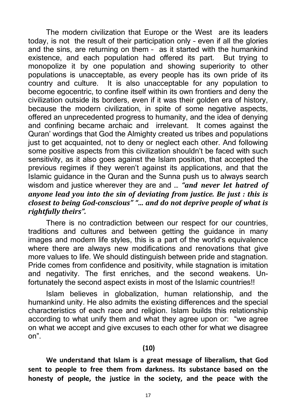The modern civilization that Europe or the West are its leaders today, is not the result of their participation only – even if all the glories and the sins, are returning on them – as it started with the humankind existence, and each population had offered its part. But trying to monopolize it by one population and showing superiority to other populations is unacceptable, as every people has its own pride of its country and culture. It is also unacceptable for any population to become egocentric, to confine itself within its own frontiers and deny the civilization outside its borders, even if it was their golden era of history, because the modern civilization, in spite of some negative aspects, offered an unprecedented progress to humanity, and the idea of denying and confining became archaic and irrelevant. It comes against the Quran' wordings that God the Almighty created us tribes and populations just to get acquainted, not to deny or neglect each other. And following some positive aspects from this civilization shouldn't be faced with such sensitivity, as it also goes against the Islam position, that accepted the previous regimes if they weren't against its applications, and that the Islamic guidance in the Quran and the Sunna push us to always search wisdom and justice wherever they are and … *"and never let hatred of anyone lead you into the sin of deviating from justice. Be just : this is closest to being God-conscious" "… and do not deprive people of what is rightfully theirs".*

There is no contradiction between our respect for our countries, traditions and cultures and between getting the guidance in many images and modern life styles, this is a part of the world's equivalence where there are always new modifications and renovations that give more values to life. We should distinguish between pride and stagnation. Pride comes from confidence and positivity, while stagnation is imitation and negativity. The first enriches, and the second weakens. Unfortunately the second aspect exists in most of the Islamic countries!!

Islam believes in globalization, human relationship, and the humankind unity. He also admits the existing differences and the special characteristics of each race and religion. Islam builds this relationship according to what unify them and what they agree upon or: "we agree on what we accept and give excuses to each other for what we disagree on".

#### **(10)**

**We understand that Islam is a great message of liberalism, that God sent to people to free them from darkness. Its substance based on the honesty of people, the justice in the society, and the peace with the**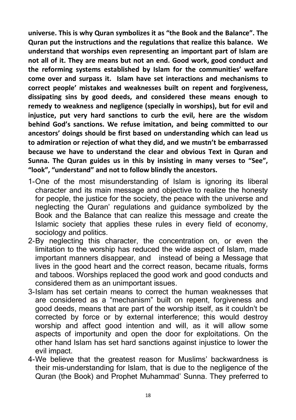**universe. This is why Quran symbolizes it as "the Book and the Balance". The Quran put the instructions and the regulations that realize this balance. We understand that worships even representing an important part of Islam are not all of it. They are means but not an end. Good work, good conduct and the reforming systems established by Islam for the communities' welfare come over and surpass it. Islam have set interactions and mechanisms to correct people' mistakes and weaknesses built on repent and forgiveness, dissipating sins by good deeds, and considered these means enough to remedy to weakness and negligence (specially in worships), but for evil and injustice, put very hard sanctions to curb the evil, here are the wisdom behind God's sanctions. We refuse imitation, and being committed to our ancestors' doings should be first based on understanding which can lead us to admiration or rejection of what they did, and we mustn't be embarrassed because we have to understand the clear and obvious Text in Quran and Sunna. The Quran guides us in this by insisting in many verses to "See", "look", "understand" and not to follow blindly the ancestors.**

- 1-One of the most misunderstanding of Islam is ignoring its liberal character and its main message and objective to realize the honesty for people, the justice for the society, the peace with the universe and neglecting the Quran' regulations and guidance symbolized by the Book and the Balance that can realize this message and create the Islamic society that applies these rules in every field of economy, sociology and politics.
- 2-By neglecting this character, the concentration on, or even the limitation to the worship has reduced the wide aspect of Islam, made important manners disappear, and instead of being a Message that lives in the good heart and the correct reason, became rituals, forms and taboos. Worships replaced the good work and good conducts and considered them as an unimportant issues.
- 3-Islam has set certain means to correct the human weaknesses that are considered as a "mechanism" built on repent, forgiveness and good deeds, means that are part of the worship itself, as it couldn't be corrected by force or by external interference; this would destroy worship and affect good intention and will, as it will allow some aspects of importunity and open the door for exploitations. On the other hand Islam has set hard sanctions against injustice to lower the evil impact.
- 4-We believe that the greatest reason for Muslims' backwardness is their mis-understanding for Islam, that is due to the negligence of the Quran (the Book) and Prophet Muhammad' Sunna. They preferred to